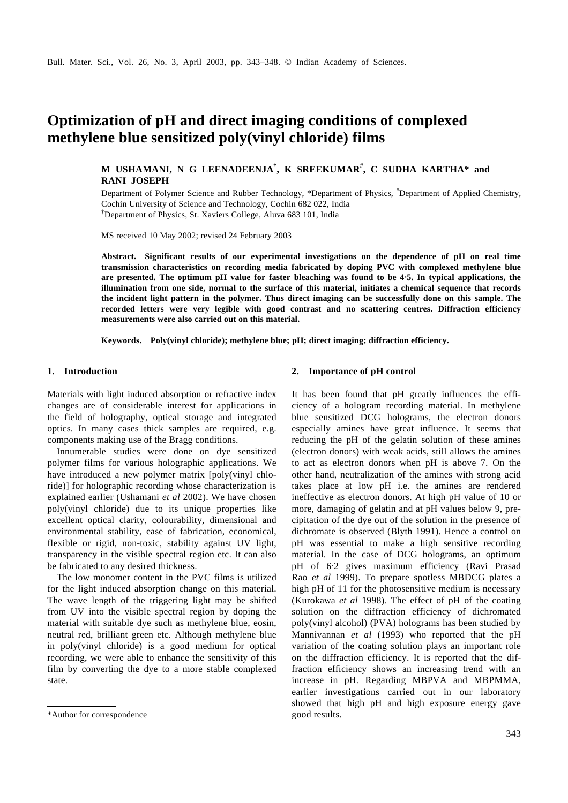# **Optimization of pH and direct imaging conditions of complexed methylene blue sensitized poly(vinyl chloride) films**

**M USHAMANI, N G LEENADEENJA† , K SREEKUMAR# , C SUDHA KARTHA\* and RANI JOSEPH**

Department of Polymer Science and Rubber Technology, \*Department of Physics, #Department of Applied Chemistry, Cochin University of Science and Technology, Cochin 682 022, India †Department of Physics, St. Xaviers College, Aluva 683 101, India

MS received 10 May 2002; revised 24 February 2003

**Abstract. Significant results of our experimental investigations on the dependence of pH on real time transmission characteristics on recording media fabricated by doping PVC with complexed methylene blue are presented. The optimum pH value for faster bleaching was found to be 4**⋅**5. In typical applications, the illumination from one side, normal to the surface of this material, initiates a chemical sequence that records the incident light pattern in the polymer. Thus direct imaging can be successfully done on this sample. The recorded letters were very legible with good contrast and no scattering centres. Diffraction efficiency measurements were also carried out on this material.**

**Keywords. Poly(vinyl chloride); methylene blue; pH; direct imaging; diffraction efficiency.**

## **1. Introduction**

Materials with light induced absorption or refractive index changes are of considerable interest for applications in the field of holography, optical storage and integrated optics. In many cases thick samples are required, e.g. components making use of the Bragg conditions.

Innumerable studies were done on dye sensitized polymer films for various holographic applications. We have introduced a new polymer matrix [poly(vinyl chloride)] for holographic recording whose characterization is explained earlier (Ushamani *et al* 2002). We have chosen poly(vinyl chloride) due to its unique properties like excellent optical clarity, colourability, dimensional and environmental stability, ease of fabrication, economical, flexible or rigid, non-toxic, stability against UV light, transparency in the visible spectral region etc. It can also be fabricated to any desired thickness.

The low monomer content in the PVC films is utilized for the light induced absorption change on this material. The wave length of the triggering light may be shifted from UV into the visible spectral region by doping the material with suitable dye such as methylene blue, eosin, neutral red, brilliant green etc. Although methylene blue in poly(vinyl chloride) is a good medium for optical recording, we were able to enhance the sensitivity of this film by converting the dye to a more stable complexed state.

#### **2. Importance of pH control**

It has been found that pH greatly influences the efficiency of a hologram recording material. In methylene blue sensitized DCG holograms, the electron donors especially amines have great influence. It seems that reducing the pH of the gelatin solution of these amines (electron donors) with weak acids, still allows the amines to act as electron donors when pH is above 7. On the other hand, neutralization of the amines with strong acid takes place at low pH i.e. the amines are rendered ineffective as electron donors. At high pH value of 10 or more, damaging of gelatin and at pH values below 9, precipitation of the dye out of the solution in the presence of dichromate is observed (Blyth 1991). Hence a control on pH was essential to make a high sensitive recording material. In the case of DCG holograms, an optimum pH of 6⋅2 gives maximum efficiency (Ravi Prasad Rao *et al* 1999). To prepare spotless MBDCG plates a high pH of 11 for the photosensitive medium is necessary (Kurokawa *et al* 1998). The effect of pH of the coating solution on the diffraction efficiency of dichromated poly(vinyl alcohol) (PVA) holograms has been studied by Mannivannan *et al* (1993) who reported that the pH variation of the coating solution plays an important role on the diffraction efficiency. It is reported that the diffraction efficiency shows an increasing trend with an increase in pH. Regarding MBPVA and MBPMMA, earlier investigations carried out in our laboratory showed that high pH and high exposure energy gave

<sup>\*</sup>Author for correspondence good results.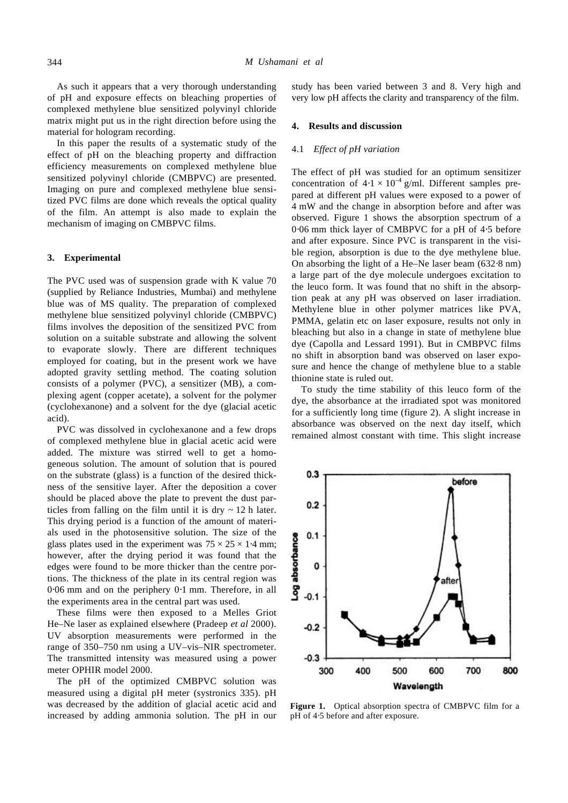As such it appears that a very thorough understanding of pH and exposure effects on bleaching properties of complexed methylene blue sensitized polyvinyl chloride matrix might put us in the right direction before using the material for hologram recording.

In this paper the results of a systematic study of the effect of pH on the bleaching property and diffraction efficiency measurements on complexed methylene blue sensitized polyvinyl chloride (CMBPVC) are presented. Imaging on pure and complexed methylene blue sensitized PVC films are done which reveals the optical quality of the film. An attempt is also made to explain the mechanism of imaging on CMBPVC films.

## **3. Experimental**

The PVC used was of suspension grade with K value 70 (supplied by Reliance Industries, Mumbai) and methylene blue was of MS quality. The preparation of complexed methylene blue sensitized polyvinyl chloride (CMBPVC) films involves the deposition of the sensitized PVC from solution on a suitable substrate and allowing the solvent to evaporate slowly. There are different techniques employed for coating, but in the present work we have adopted gravity settling method. The coating solution consists of a polymer (PVC), a sensitizer (MB), a complexing agent (copper acetate), a solvent for the polymer (cyclohexanone) and a solvent for the dye (glacial acetic acid).

PVC was dissolved in cyclohexanone and a few drops of complexed methylene blue in glacial acetic acid were added. The mixture was stirred well to get a homogeneous solution. The amount of solution that is poured on the substrate (glass) is a function of the desired thickness of the sensitive layer. After the deposition a cover should be placed above the plate to prevent the dust particles from falling on the film until it is dry  $\sim$  12 h later. This drying period is a function of the amount of materials used in the photosensitive solution. The size of the glass plates used in the experiment was  $75 \times 25 \times 1.4$  mm; however, after the drying period it was found that the edges were found to be more thicker than the centre portions. The thickness of the plate in its central region was 0⋅06 mm and on the periphery 0⋅1 mm. Therefore, in all the experiments area in the central part was used.

These films were then exposed to a Melles Griot He–Ne laser as explained elsewhere (Pradeep *et al* 2000). UV absorption measurements were performed in the range of 350–750 nm using a UV–vis–NIR spectrometer. The transmitted intensity was measured using a power meter OPHIR model 2000.

The pH of the optimized CMBPVC solution was measured using a digital pH meter (systronics 335). pH was decreased by the addition of glacial acetic acid and increased by adding ammonia solution. The pH in our study has been varied between 3 and 8. Very high and very low pH affects the clarity and transparency of the film.

### **4. Results and discussion**

#### 4.1 *Effect of pH variation*

The effect of pH was studied for an optimum sensitizer concentration of  $4.1 \times 10^{-4}$  g/ml. Different samples prepared at different pH values were exposed to a power of 4 mW and the change in absorption before and after was observed. Figure 1 shows the absorption spectrum of a 0⋅06 mm thick layer of CMBPVC for a pH of 4⋅5 before and after exposure. Since PVC is transparent in the visible region, absorption is due to the dye methylene blue. On absorbing the light of a He–Ne laser beam (632⋅8 nm) a large part of the dye molecule undergoes excitation to the leuco form. It was found that no shift in the absorption peak at any pH was observed on laser irradiation. Methylene blue in other polymer matrices like PVA, PMMA, gelatin etc on laser exposure, results not only in bleaching but also in a change in state of methylene blue dye (Capolla and Lessard 1991). But in CMBPVC films no shift in absorption band was observed on laser exposure and hence the change of methylene blue to a stable thionine state is ruled out.

To study the time stability of this leuco form of the dye, the absorbance at the irradiated spot was monitored for a sufficiently long time (figure 2). A slight increase in absorbance was observed on the next day itself, which remained almost constant with time. This slight increase



Figure 1. Optical absorption spectra of CMBPVC film for a pH of 4⋅5 before and after exposure.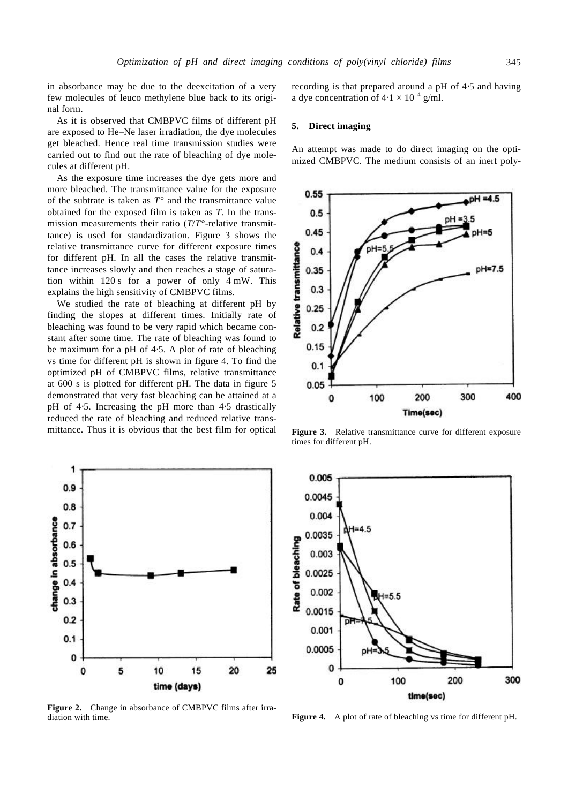in absorbance may be due to the deexcitation of a very few molecules of leuco methylene blue back to its original form.

As it is observed that CMBPVC films of different pH are exposed to He–Ne laser irradiation, the dye molecules get bleached. Hence real time transmission studies were carried out to find out the rate of bleaching of dye molecules at different pH.

As the exposure time increases the dye gets more and more bleached. The transmittance value for the exposure of the subtrate is taken as  $T^{\circ}$  and the transmittance value obtained for the exposed film is taken as *T*. In the transmission measurements their ratio (*T*/*T*°-relative transmittance) is used for standardization. Figure 3 shows the relative transmittance curve for different exposure times for different pH. In all the cases the relative transmittance increases slowly and then reaches a stage of saturation within 120 s for a power of only 4 mW. This explains the high sensitivity of CMBPVC films.

We studied the rate of bleaching at different pH by finding the slopes at different times. Initially rate of bleaching was found to be very rapid which became constant after some time. The rate of bleaching was found to be maximum for a pH of 4⋅5. A plot of rate of bleaching vs time for different pH is shown in figure 4. To find the optimized pH of CMBPVC films, relative transmittance at 600 s is plotted for different pH. The data in figure 5 demonstrated that very fast bleaching can be attained at a pH of 4⋅5. Increasing the pH more than 4⋅5 drastically reduced the rate of bleaching and reduced relative transmittance. Thus it is obvious that the best film for optical recording is that prepared around a pH of 4⋅5 and having a dye concentration of  $4.1 \times 10^{-4}$  g/ml.

## **5. Direct imaging**

An attempt was made to do direct imaging on the optimized CMBPVC. The medium consists of an inert poly-



**Figure 3.** Relative transmittance curve for different exposure times for different pH.



**Figure 2.** Change in absorbance of CMBPVC films after irradiation with time.



**Figure 4.** A plot of rate of bleaching vs time for different pH.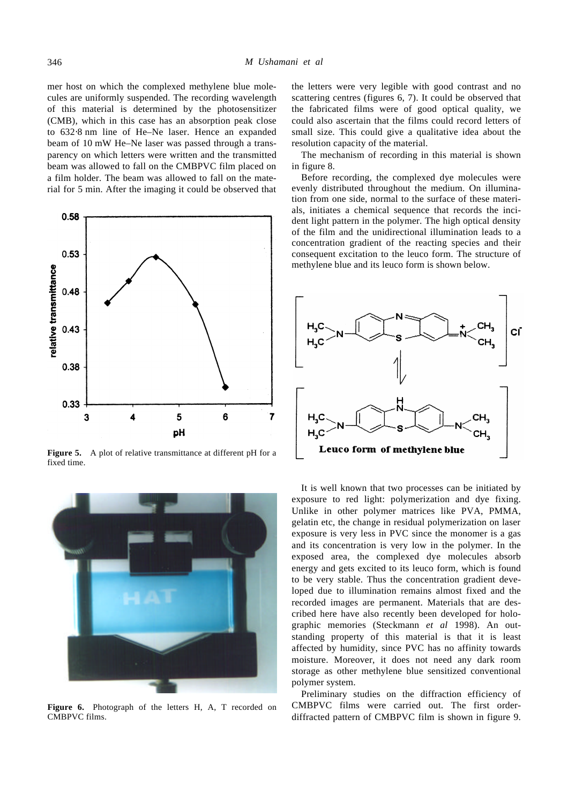mer host on which the complexed methylene blue molecules are uniformly suspended. The recording wavelength of this material is determined by the photosensitizer (CMB), which in this case has an absorption peak close to 632⋅8 nm line of He–Ne laser. Hence an expanded beam of 10 mW He–Ne laser was passed through a transparency on which letters were written and the transmitted beam was allowed to fall on the CMBPVC film placed on a film holder. The beam was allowed to fall on the material for 5 min. After the imaging it could be observed that



**Figure 5.** A plot of relative transmittance at different pH for a fixed time.



Figure 6. Photograph of the letters H, A, T recorded on CMBPVC films.

the letters were very legible with good contrast and no scattering centres (figures 6, 7). It could be observed that the fabricated films were of good optical quality, we could also ascertain that the films could record letters of small size. This could give a qualitative idea about the resolution capacity of the material.

The mechanism of recording in this material is shown in figure 8.

Before recording, the complexed dye molecules were evenly distributed throughout the medium. On illumination from one side, normal to the surface of these materials, initiates a chemical sequence that records the incident light pattern in the polymer. The high optical density of the film and the unidirectional illumination leads to a concentration gradient of the reacting species and their consequent excitation to the leuco form. The structure of methylene blue and its leuco form is shown below.



It is well known that two processes can be initiated by exposure to red light: polymerization and dye fixing. Unlike in other polymer matrices like PVA, PMMA, gelatin etc, the change in residual polymerization on laser exposure is very less in PVC since the monomer is a gas and its concentration is very low in the polymer. In the exposed area, the complexed dye molecules absorb energy and gets excited to its leuco form, which is found to be very stable. Thus the concentration gradient developed due to illumination remains almost fixed and the recorded images are permanent. Materials that are described here have also recently been developed for holographic memories (Steckmann *et al* 1998). An outstanding property of this material is that it is least affected by humidity, since PVC has no affinity towards moisture. Moreover, it does not need any dark room storage as other methylene blue sensitized conventional polymer system.

Preliminary studies on the diffraction efficiency of CMBPVC films were carried out. The first orderdiffracted pattern of CMBPVC film is shown in figure 9.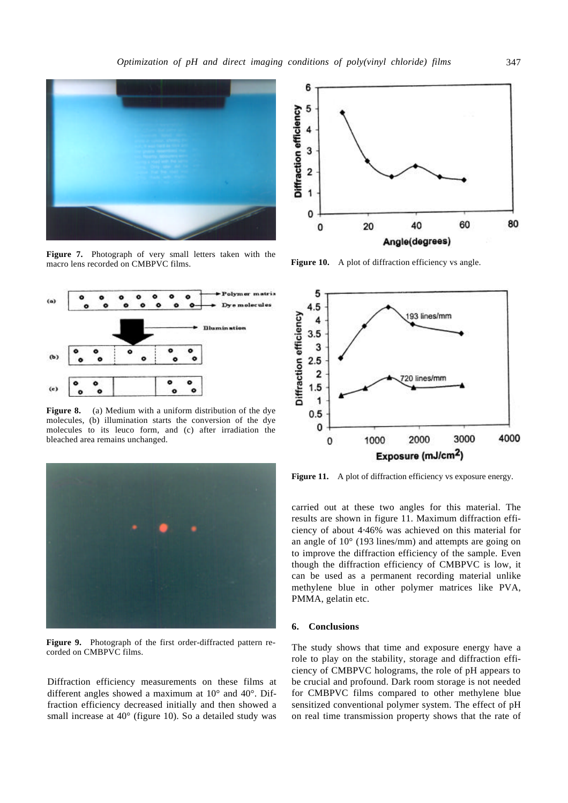

**Figure 7.** Photograph of very small letters taken with the macro lens recorded on CMBPVC films.



**Figure 8.** (a) Medium with a uniform distribution of the dye molecules, (b) illumination starts the conversion of the dye molecules to its leuco form, and (c) after irradiation the bleached area remains unchanged.



**Figure 9.** Photograph of the first order-diffracted pattern recorded on CMBPVC films.

Diffraction efficiency measurements on these films at different angles showed a maximum at 10° and 40°. Diffraction efficiency decreased initially and then showed a small increase at 40° (figure 10). So a detailed study was



Figure 10. A plot of diffraction efficiency vs angle.



**Figure 11.** A plot of diffraction efficiency vs exposure energy.

carried out at these two angles for this material. The results are shown in figure 11. Maximum diffraction efficiency of about 4⋅46% was achieved on this material for an angle of 10° (193 lines/mm) and attempts are going on to improve the diffraction efficiency of the sample. Even though the diffraction efficiency of CMBPVC is low, it can be used as a permanent recording material unlike methylene blue in other polymer matrices like PVA, PMMA, gelatin etc.

#### **6. Conclusions**

The study shows that time and exposure energy have a role to play on the stability, storage and diffraction efficiency of CMBPVC holograms, the role of pH appears to be crucial and profound. Dark room storage is not needed for CMBPVC films compared to other methylene blue sensitized conventional polymer system. The effect of pH on real time transmission property shows that the rate of